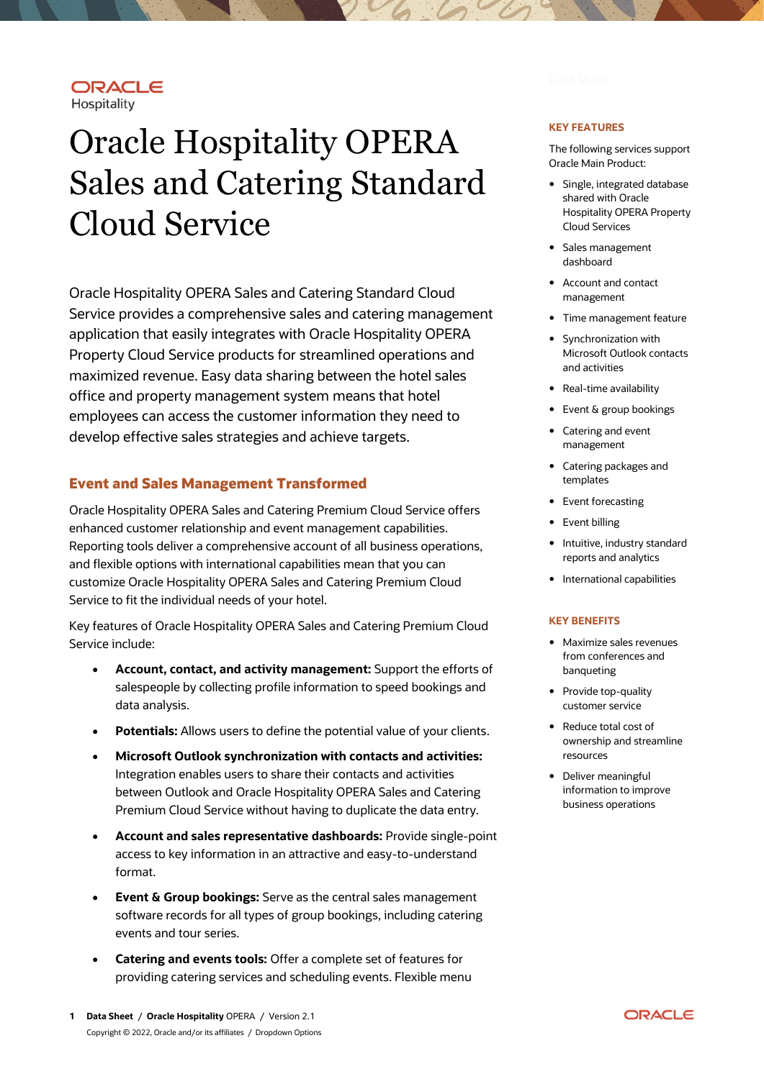## ORACLE Hospitality

# Oracle Hospitality OPERA Sales and Catering Standard Cloud Service

Oracle Hospitality OPERA Sales and Catering Standard Cloud Service provides a comprehensive sales and catering management application that easily integrates with Oracle Hospitality OPERA Property Cloud Service products for streamlined operations and maximized revenue. Easy data sharing between the hotel sales office and property management system means that hotel employees can access the customer information they need to develop effective sales strategies and achieve targets.

# **Event and Sales Management Transformed**

Oracle Hospitality OPERA Sales and Catering Premium Cloud Service offers enhanced customer relationship and event management capabilities. Reporting tools deliver a comprehensive account of all business operations, and flexible options with international capabilities mean that you can customize Oracle Hospitality OPERA Sales and Catering Premium Cloud Service to fit the individual needs of your hotel.

Key features of Oracle Hospitality OPERA Sales and Catering Premium Cloud Service include:

- **Account, contact, and activity management:** Support the efforts of salespeople by collecting profile information to speed bookings and data analysis.
- Potentials: Allows users to define the potential value of your clients.
- **Microsoft Outlook synchronization with contacts and activities:** Integration enables users to share their contacts and activities between Outlook and Oracle Hospitality OPERA Sales and Catering Premium Cloud Service without having to duplicate the data entry.
- **Account and sales representative dashboards:** Provide single-point access to key information in an attractive and easy-to-understand format.
- **Event & Group bookings:** Serve as the central sales management software records for all types of group bookings, including catering events and tour series.
- **Catering and events tools:** Offer a complete set of features for providing catering services and scheduling events. Flexible menu

#### **KEY FEATURES**

The following services support Oracle Main Product:

- Single, integrated database shared with Oracle Hospitality OPERA Property Cloud Services
- Sales management dashboard
- Account and contact management
- Time management feature
- Synchronization with Microsoft Outlook contacts and activities
- Real-time availability
- Event & group bookings
- Catering and event management
- Catering packages and templates
- Event forecasting
- Event billing
- Intuitive, industry standard reports and analytics
- International capabilities

#### **KEY BENEFITS**

- Maximize sales revenues from conferences and banqueting
- Provide top-quality customer service
- Reduce total cost of ownership and streamline resources
- Deliver meaningful information to improve business operations

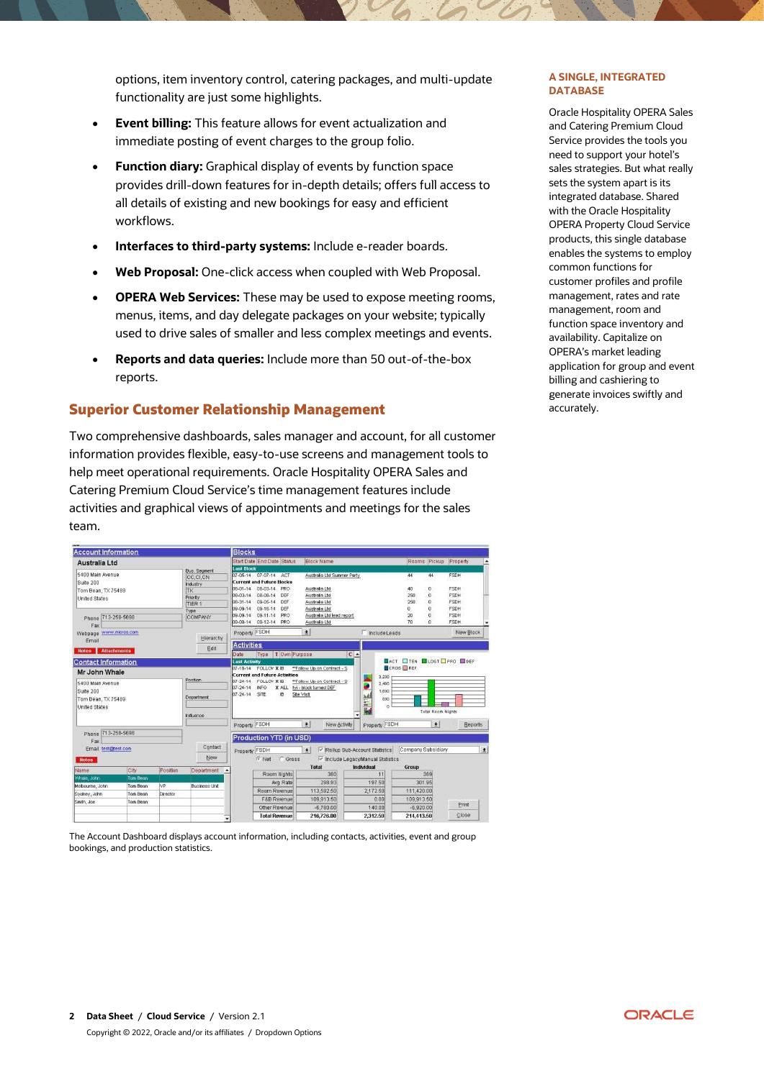options, item inventory control, catering packages, and multi-update functionality are just some highlights.

- **Event billing:** This feature allows for event actualization and immediate posting of event charges to the group folio.
- **Function diary:** Graphical display of events by function space provides drill-down features for in-depth details; offers full access to all details of existing and new bookings for easy and efficient workflows.
- **Interfaces to third-party systems:** Include e-reader boards.
- **Web Proposal:** One-click access when coupled with Web Proposal.
- **OPERA Web Services:** These may be used to expose meeting rooms, menus, items, and day delegate packages on your website; typically used to drive sales of smaller and less complex meetings and events.
- **Reports and data queries:** Include more than 50 out-of-the-box reports.

# **Superior Customer Relationship Management**

Two comprehensive dashboards, sales manager and account, for all customer information provides flexible, easy-to-use screens and management tools to help meet operational requirements. Oracle Hospitality OPERA Sales and Catering Premium Cloud Service's time management features include activities and graphical views of appointments and meetings for the sales team.

| <b>Account Information</b>                                           |              |                       |                                                                                                                                                                                                                       | <b>Blocks</b>                                         |                                                                                                                                     |                                                                                 |                                    |                                                          |                                            |
|----------------------------------------------------------------------|--------------|-----------------------|-----------------------------------------------------------------------------------------------------------------------------------------------------------------------------------------------------------------------|-------------------------------------------------------|-------------------------------------------------------------------------------------------------------------------------------------|---------------------------------------------------------------------------------|------------------------------------|----------------------------------------------------------|--------------------------------------------|
| Australia Ltd                                                        |              |                       |                                                                                                                                                                                                                       |                                                       | <b>Start Date End Date Status</b>                                                                                                   | Elock Name                                                                      |                                    | Rooms Pickup Property                                    |                                            |
| 5400 Main Avenue<br>Suite 200<br>Tom Bean, TX 75489<br>United States |              |                       | <b>Bus.</b> Segment.<br>CC.CI.CN<br><b>Industry</b><br><b>TK</b><br>Priority<br>TIER 1                                                                                                                                | <b>Last Block</b><br>80-00-00<br>08-03-14<br>08-31-14 | 07-06-14 07-07-14<br>ACT<br><b>Current and Future Blocks</b><br>08.03.14<br><b>FRO</b><br>08-08-14<br>DEF<br>09-05-14<br><b>DEF</b> | Audinalia Ltd Summer Party<br>Australa Ltd.<br>Australia Ltd.<br>Australia Ltd. |                                    | $\overline{44}$<br>44<br>o<br>48<br>ö<br>250<br>ö<br>250 | FSDH<br><b>FSDH</b><br>FSDH<br><b>FSDH</b> |
| Phone 713-258-5698                                                   |              |                       | Type<br><b>COMPANY</b>                                                                                                                                                                                                | 09-09-14<br>09.09.14                                  | 09-16-14<br><b>DEF</b><br>09-11-14<br>PRO<br>09-09-14 09-12-14<br>PRO                                                               | Asistrate Ltd.<br>Australa Ltd lead report<br>Australia Ltd                     |                                    | ö<br>Ü<br>Ü.<br>20<br>70<br>o.                           | FSDH<br><b>FSDH</b><br>FSDH.               |
| Fax<br>www.nicros.com<br>Webpage<br>Email                            |              | Hierarchy             | Property FSDH                                                                                                                                                                                                         |                                                       | 회                                                                                                                                   | Include Leads                                                                   |                                    | New Block                                                |                                            |
| Attachments<br><b>Hotes</b>                                          |              |                       | Edit                                                                                                                                                                                                                  | Activities<br>Date                                    | Type   T Own Furpose                                                                                                                |                                                                                 | C                                  |                                                          |                                            |
| <b>Contact Information</b>                                           |              |                       |                                                                                                                                                                                                                       | Last Activity                                         |                                                                                                                                     |                                                                                 |                                    | ACT OTEN LOST PRO BINER                                  |                                            |
| Mr John Whale                                                        |              |                       |                                                                                                                                                                                                                       | 17-18-14                                              | FOLLOV X IB<br><b>Current and Future Activities</b>                                                                                 | **Follow Up on Contract - S                                                     | CROS EREY                          |                                                          |                                            |
| 5400 Main Avenue<br>Suite 200<br>Tom Bean, TX 75489<br>United States |              | Postton<br>Department | 3,200<br>ы<br>FOLLOW X IB<br>**Follow Up on Contract - S<br>$07 - 24 - 14$<br>ÿ<br>2,400<br>INFO.<br>fyi - block furned DEF<br>07-24-14<br>X ALL<br>1,600<br>07-26-14<br>SIL<br>逝<br>Site Visit<br>E IIIE<br>800<br>o |                                                       |                                                                                                                                     |                                                                                 |                                    |                                                          |                                            |
|                                                                      |              | Influence             | ٠<br>$\left  \cdot \right $<br>Property FSDH<br>Property FSDH<br>New <b>Schiff</b>                                                                                                                                    |                                                       |                                                                                                                                     |                                                                                 | Tatal Room Nights<br>$\bullet$     | <b>Beports</b>                                           |                                            |
| 713-258-5698<br>Phone<br>Fax                                         |              |                       |                                                                                                                                                                                                                       |                                                       |                                                                                                                                     |                                                                                 |                                    |                                                          |                                            |
|                                                                      |              |                       |                                                                                                                                                                                                                       |                                                       | Production YTD (in USD)                                                                                                             |                                                                                 |                                    |                                                          |                                            |
| Email terrignest.com                                                 |              |                       | Contact                                                                                                                                                                                                               |                                                       | Property FSDH                                                                                                                       | $\pm$                                                                           | V Rollup Sub-Account Statistics    | Company Subsidiary                                       | $\vert$                                    |
| <b>Notes</b>                                                         |              |                       | New                                                                                                                                                                                                                   |                                                       | Gross<br>IF Net                                                                                                                     |                                                                                 | IV Include LegacyManual Statistics |                                                          |                                            |
| Name                                                                 | <b>jolly</b> | Position              | Department                                                                                                                                                                                                            |                                                       |                                                                                                                                     | Total                                                                           | Individual                         | Group                                                    |                                            |
| Missie, John                                                         | Tom Bean     |                       |                                                                                                                                                                                                                       |                                                       | Room Nights                                                                                                                         | 380                                                                             | 11                                 | 369                                                      |                                            |
| Melbourne, John                                                      | Ton Bean     | NP.                   | Businees Link                                                                                                                                                                                                         |                                                       | Avg. Rate                                                                                                                           | 298.93                                                                          | 19750                              | 301.95                                                   |                                            |
| Sveney, John                                                         | Ton Bean     | Director              |                                                                                                                                                                                                                       |                                                       | Room Revenue                                                                                                                        | 113,592.50                                                                      | 2,172.50                           | 111,420.00                                               |                                            |
| Smith, Joe                                                           | Torn Bean    |                       |                                                                                                                                                                                                                       |                                                       | F&B Resenue<br>Other Revenue                                                                                                        | 109,913.50<br>$-6,780.00$                                                       | 0.00<br>140.00                     | 109.913.50<br>$-6.920.00$                                | Print                                      |

The Account Dashboard displays account information, including contacts, activities, event and group bookings, and production statistics.

#### **A SINGLE, INTEGRATED DATABASE**

Oracle Hospitality OPERA Sales and Catering Premium Cloud Service provides the tools you need to support your hotel's sales strategies. But what really sets the system apart is its integrated database. Shared with the Oracle Hospitality OPERA Property Cloud Service products, this single database enables the systems to employ common functions for customer profiles and profile management, rates and rate management, room and function space inventory and availability. Capitalize on OPERA's market leading application for group and event billing and cashiering to generate invoices swiftly and accurately.

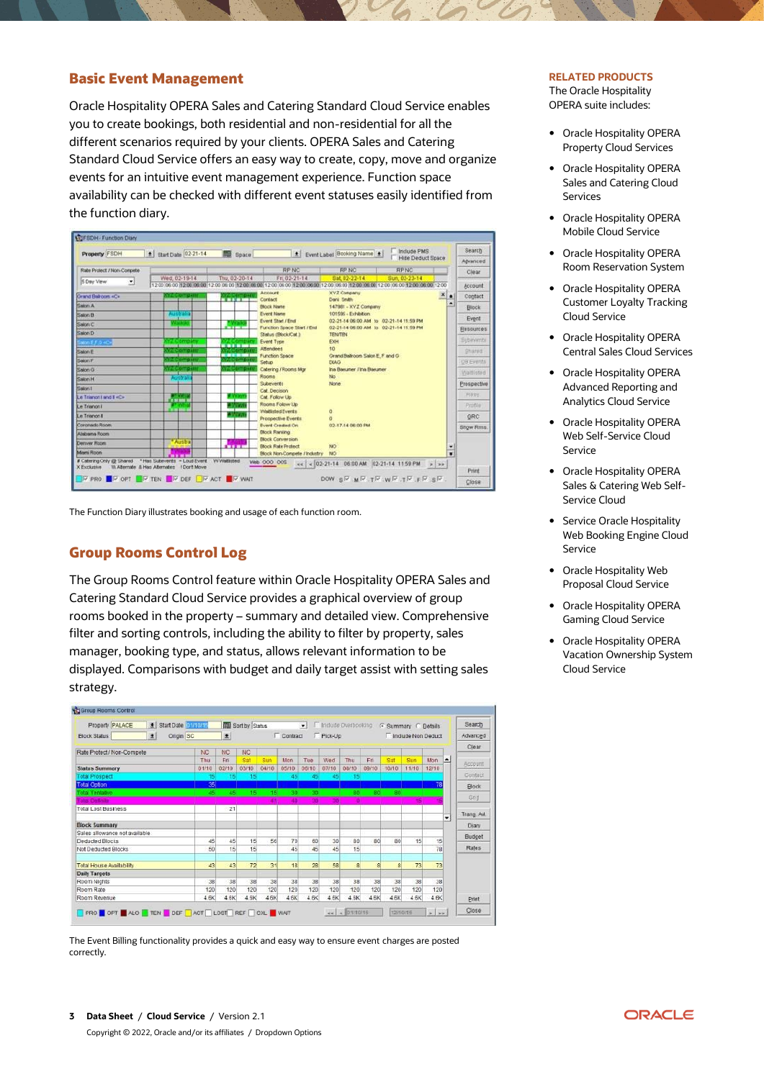## **Basic Event Management**

Oracle Hospitality OPERA Sales and Catering Standard Cloud Service enables you to create bookings, both residential and non-residential for all the different scenarios required by your clients. OPERA Sales and Catering Standard Cloud Service offers an easy way to create, copy, move and organize events for an intuitive event management experience. Function space availability can be checked with different event statuses easily identified from the function diary.



The Function Diary illustrates booking and usage of each function room.

#### **Group Rooms Control Log**

The Group Rooms Control feature within Oracle Hospitality OPERA Sales and Catering Standard Cloud Service provides a graphical overview of group rooms booked in the property – summary and detailed view. Comprehensive filter and sorting controls, including the ability to filter by property, sales manager, booking type, and status, allows relevant information to be displayed. Comparisons with budget and daily target assist with setting sales strategy.



The Event Billing functionality provides a quick and easy way to ensure event charges are posted correctly.

#### **RELATED PRODUCTS**

The Oracle Hospitality OPERA suite includes:

- Oracle Hospitality OPERA Property Cloud Services
- Oracle Hospitality OPERA Sales and Catering Cloud Services
- Oracle Hospitality OPERA Mobile Cloud Service
- Oracle Hospitality OPERA Room Reservation System
- Oracle Hospitality OPERA Customer Loyalty Tracking Cloud Service
- Oracle Hospitality OPERA Central Sales Cloud Services
- Oracle Hospitality OPERA Advanced Reporting and Analytics Cloud Service
- Oracle Hospitality OPERA Web Self-Service Cloud Service
- Oracle Hospitality OPERA Sales & Catering Web Self-Service Cloud
- Service Oracle Hospitality Web Booking Engine Cloud Service
- Oracle Hospitality Web Proposal Cloud Service
- Oracle Hospitality OPERA Gaming Cloud Service
- Oracle Hospitality OPERA Vacation Ownership System Cloud Service

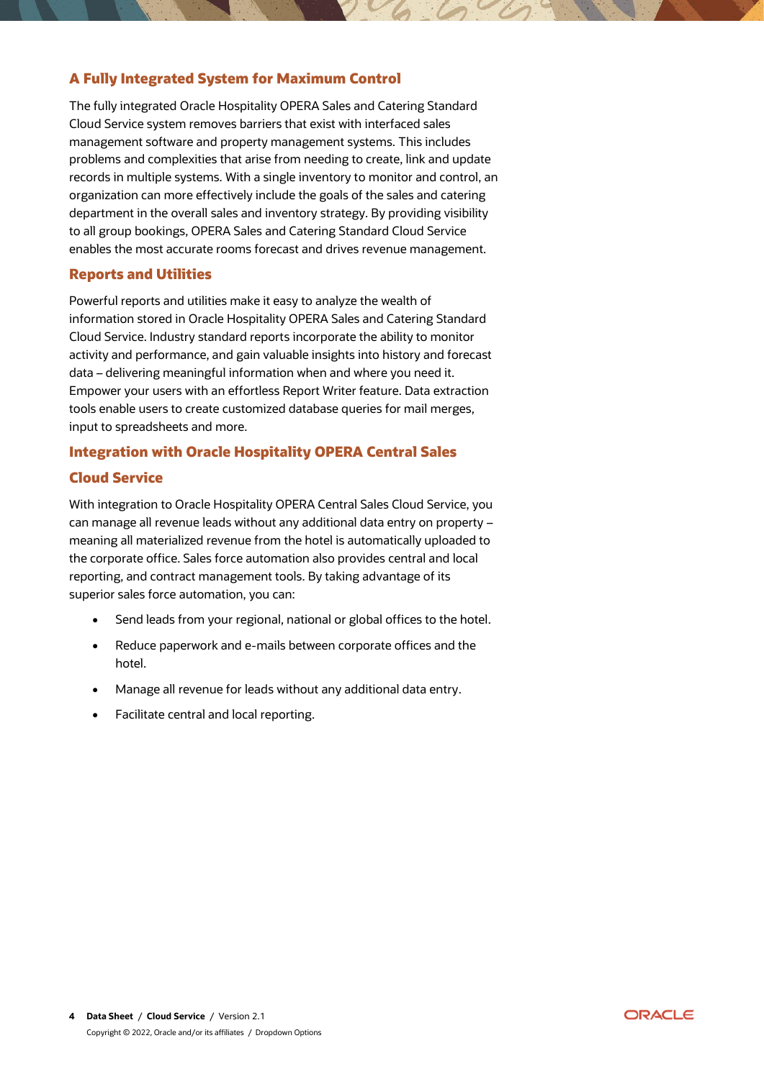# **A Fully Integrated System for Maximum Control**

The fully integrated Oracle Hospitality OPERA Sales and Catering Standard Cloud Service system removes barriers that exist with interfaced sales management software and property management systems. This includes problems and complexities that arise from needing to create, link and update records in multiple systems. With a single inventory to monitor and control, an organization can more effectively include the goals of the sales and catering department in the overall sales and inventory strategy. By providing visibility to all group bookings, OPERA Sales and Catering Standard Cloud Service enables the most accurate rooms forecast and drives revenue management.

# **Reports and Utilities**

Powerful reports and utilities make it easy to analyze the wealth of information stored in Oracle Hospitality OPERA Sales and Catering Standard Cloud Service. Industry standard reports incorporate the ability to monitor activity and performance, and gain valuable insights into history and forecast data – delivering meaningful information when and where you need it. Empower your users with an effortless Report Writer feature. Data extraction tools enable users to create customized database queries for mail merges, input to spreadsheets and more.

# **Integration with Oracle Hospitality OPERA Central Sales**

# **Cloud Service**

With integration to Oracle Hospitality OPERA Central Sales Cloud Service, you can manage all revenue leads without any additional data entry on property – meaning all materialized revenue from the hotel is automatically uploaded to the corporate office. Sales force automation also provides central and local reporting, and contract management tools. By taking advantage of its superior sales force automation, you can:

- Send leads from your regional, national or global offices to the hotel.
- Reduce paperwork and e-mails between corporate offices and the hotel.
- Manage all revenue for leads without any additional data entry.
- Facilitate central and local reporting.